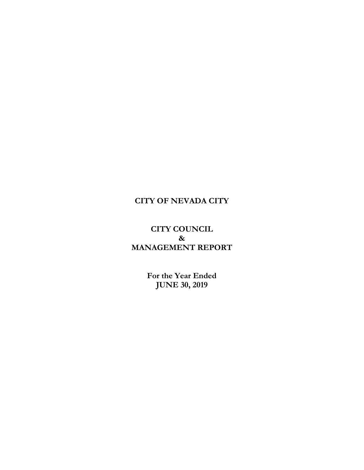### **CITY OF NEVADA CITY**

### **CITY COUNCIL & MANAGEMENT REPORT**

**For the Year Ended JUNE 30, 2019**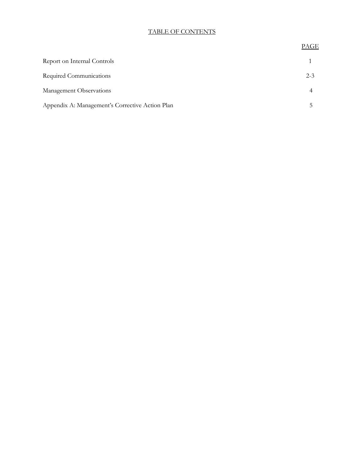#### TABLE OF CONTENTS

# PAGE Report on Internal Controls 1 Required Communications 2-3 Management Observations 4 Appendix A: Management's Corrective Action Plan 5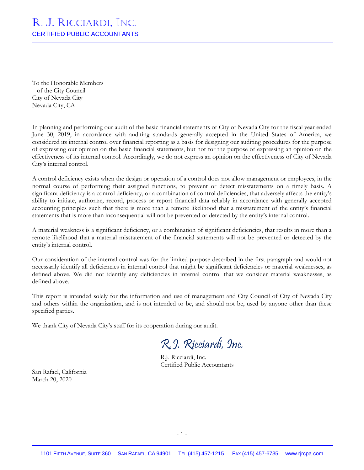## R. J. RICCIARDI, INC. CERTIFIED PUBLIC ACCOUNTANTS

To the Honorable Members of the City Council City of Nevada City Nevada City, CA

In planning and performing our audit of the basic financial statements of City of Nevada City for the fiscal year ended June 30, 2019, in accordance with auditing standards generally accepted in the United States of America, we considered its internal control over financial reporting as a basis for designing our auditing procedures for the purpose of expressing our opinion on the basic financial statements, but not for the purpose of expressing an opinion on the effectiveness of its internal control. Accordingly, we do not express an opinion on the effectiveness of City of Nevada City's internal control.

A control deficiency exists when the design or operation of a control does not allow management or employees, in the normal course of performing their assigned functions, to prevent or detect misstatements on a timely basis. A significant deficiency is a control deficiency, or a combination of control deficiencies, that adversely affects the entity's ability to initiate, authorize, record, process or report financial data reliably in accordance with generally accepted accounting principles such that there is more than a remote likelihood that a misstatement of the entity's financial statements that is more than inconsequential will not be prevented or detected by the entity's internal control.

A material weakness is a significant deficiency, or a combination of significant deficiencies, that results in more than a remote likelihood that a material misstatement of the financial statements will not be prevented or detected by the entity's internal control.

Our consideration of the internal control was for the limited purpose described in the first paragraph and would not necessarily identify all deficiencies in internal control that might be significant deficiencies or material weaknesses, as defined above. We did not identify any deficiencies in internal control that we consider material weaknesses, as defined above.

This report is intended solely for the information and use of management and City Council of City of Nevada City and others within the organization, and is not intended to be, and should not be, used by anyone other than these specified parties.

We thank City of Nevada City's staff for its cooperation during our audit.

R.J. Ricciardi, Inc.

R.J. Ricciardi, Inc. Certified Public Accountants

San Rafael, California March 20, 2020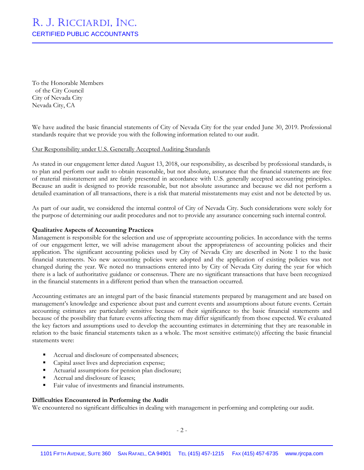# R. J. RICCIARDI, INC. CERTIFIED PUBLIC ACCOUNTANTS

To the Honorable Members of the City Council City of Nevada City Nevada City, CA

We have audited the basic financial statements of City of Nevada City for the year ended June 30, 2019. Professional standards require that we provide you with the following information related to our audit.

#### Our Responsibility under U.S. Generally Accepted Auditing Standards

As stated in our engagement letter dated August 13, 2018, our responsibility, as described by professional standards, is to plan and perform our audit to obtain reasonable, but not absolute, assurance that the financial statements are free of material misstatement and are fairly presented in accordance with U.S. generally accepted accounting principles. Because an audit is designed to provide reasonable, but not absolute assurance and because we did not perform a detailed examination of all transactions, there is a risk that material misstatements may exist and not be detected by us.

As part of our audit, we considered the internal control of City of Nevada City. Such considerations were solely for the purpose of determining our audit procedures and not to provide any assurance concerning such internal control.

#### **Qualitative Aspects of Accounting Practices**

Management is responsible for the selection and use of appropriate accounting policies. In accordance with the terms of our engagement letter, we will advise management about the appropriateness of accounting policies and their application. The significant accounting policies used by City of Nevada City are described in Note 1 to the basic financial statements. No new accounting policies were adopted and the application of existing policies was not changed during the year. We noted no transactions entered into by City of Nevada City during the year for which there is a lack of authoritative guidance or consensus. There are no significant transactions that have been recognized in the financial statements in a different period than when the transaction occurred.

Accounting estimates are an integral part of the basic financial statements prepared by management and are based on management's knowledge and experience about past and current events and assumptions about future events. Certain accounting estimates are particularly sensitive because of their significance to the basic financial statements and because of the possibility that future events affecting them may differ significantly from those expected. We evaluated the key factors and assumptions used to develop the accounting estimates in determining that they are reasonable in relation to the basic financial statements taken as a whole. The most sensitive estimate(s) affecting the basic financial statements were:

- Accrual and disclosure of compensated absences;
- Capital asset lives and depreciation expense;
- Actuarial assumptions for pension plan disclosure;
- Accrual and disclosure of leases;
- Fair value of investments and financial instruments.

#### **Difficulties Encountered in Performing the Audit**

We encountered no significant difficulties in dealing with management in performing and completing our audit.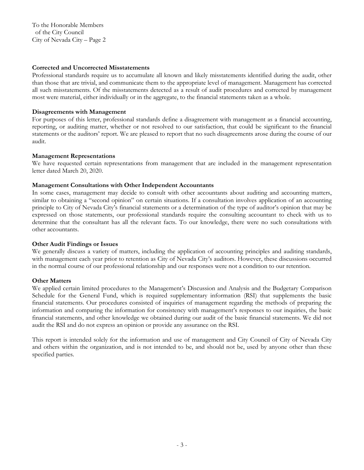To the Honorable Members of the City Council City of Nevada City – Page 2

#### **Corrected and Uncorrected Misstatements**

Professional standards require us to accumulate all known and likely misstatements identified during the audit, other than those that are trivial, and communicate them to the appropriate level of management. Management has corrected all such misstatements. Of the misstatements detected as a result of audit procedures and corrected by management most were material, either individually or in the aggregate, to the financial statements taken as a whole.

#### **Disagreements with Management**

For purposes of this letter, professional standards define a disagreement with management as a financial accounting, reporting, or auditing matter, whether or not resolved to our satisfaction, that could be significant to the financial statements or the auditors' report. We are pleased to report that no such disagreements arose during the course of our audit.

#### **Management Representations**

We have requested certain representations from management that are included in the management representation letter dated March 20, 2020.

#### **Management Consultations with Other Independent Accountants**

In some cases, management may decide to consult with other accountants about auditing and accounting matters, similar to obtaining a "second opinion" on certain situations. If a consultation involves application of an accounting principle to City of Nevada City's financial statements or a determination of the type of auditor's opinion that may be expressed on those statements, our professional standards require the consulting accountant to check with us to determine that the consultant has all the relevant facts. To our knowledge, there were no such consultations with other accountants.

#### **Other Audit Findings or Issues**

We generally discuss a variety of matters, including the application of accounting principles and auditing standards, with management each year prior to retention as City of Nevada City's auditors. However, these discussions occurred in the normal course of our professional relationship and our responses were not a condition to our retention.

#### **Other Matters**

We applied certain limited procedures to the Management's Discussion and Analysis and the Budgetary Comparison Schedule for the General Fund, which is required supplementary information (RSI) that supplements the basic financial statements. Our procedures consisted of inquiries of management regarding the methods of preparing the information and comparing the information for consistency with management's responses to our inquiries, the basic financial statements, and other knowledge we obtained during our audit of the basic financial statements. We did not audit the RSI and do not express an opinion or provide any assurance on the RSI.

This report is intended solely for the information and use of management and City Council of City of Nevada City and others within the organization, and is not intended to be, and should not be, used by anyone other than these specified parties.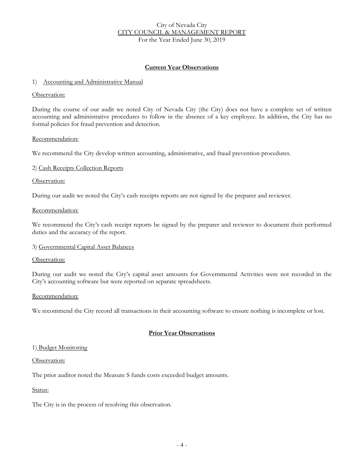#### City of Nevada City CITY COUNCIL & MANAGEMENT REPORT For the Year Ended June 30, 2019

#### **Current Year Observations**

#### 1) Accounting and Administrative Manual

#### Observation:

During the course of our audit we noted City of Nevada City (the City) does not have a complete set of written accounting and administrative procedures to follow in the absence of a key employee. In addition, the City has no formal policies for fraud prevention and detection.

#### Recommendation:

We recommend the City develop written accounting, administrative, and fraud prevention procedures.

#### 2) Cash Receipts Collection Reports

#### Observation:

During our audit we noted the City's cash receipts reports are not signed by the preparer and reviewer.

#### Recommendation:

We recommend the City's cash receipt reports be signed by the preparer and reviewer to document their performed duties and the accuracy of the report.

#### 3) Governmental Capital Asset Balances

#### Observation:

During our audit we noted the City's capital asset amounts for Governmental Activities were not recorded in the City's accounting software but were reported on separate spreadsheets.

#### Recommendation:

We recommend the City record all transactions in their accounting software to ensure nothing is incomplete or lost.

#### **Prior Year Observations**

#### 1) Budget Monitoring

#### Observation:

The prior auditor noted the Measure S funds costs exceeded budget amounts.

#### Status:

The City is in the process of resolving this observation.